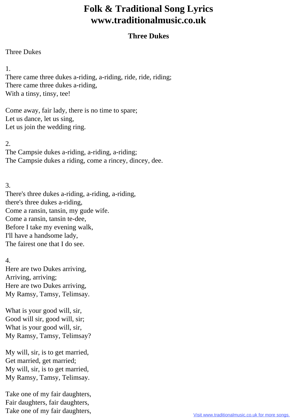## **Folk & Traditional Song Lyrics www.traditionalmusic.co.uk**

## **Three Dukes**

## Three Dukes

1.

There came three dukes a-riding, a-riding, ride, ride, riding; There came three dukes a-riding, With a tinsy, tinsy, tee!

Come away, fair lady, there is no time to spare; Let us dance, let us sing, Let us join the wedding ring.

2.

The Campsie dukes a-riding, a-riding, a-riding; The Campsie dukes a riding, come a rincey, dincey, dee.

3.

There's three dukes a-riding, a-riding, a-riding, there's three dukes a-riding, Come a ransin, tansin, my gude wife. Come a ransin, tansin te-dee, Before I take my evening walk, I'll have a handsome lady, The fairest one that I do see.

4.

Here are two Dukes arriving, Arriving, arriving; Here are two Dukes arriving, My Ramsy, Tamsy, Telimsay.

What is your good will, sir, Good will sir, good will, sir; What is your good will, sir, My Ramsy, Tamsy, Telimsay?

My will, sir, is to get married, Get married, get married; My will, sir, is to get married, My Ramsy, Tamsy, Telimsay.

Take one of my fair daughters, Fair daughters, fair daughters, Take one of my fair daughters,